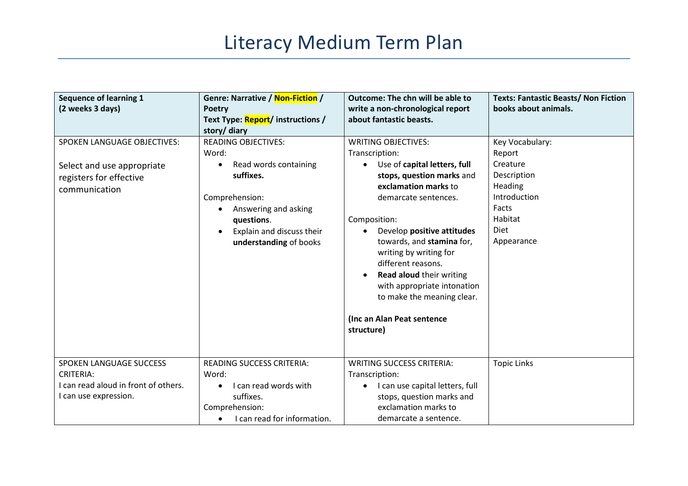## Literacy Medium Term Plan

| <b>Sequence of learning 1</b><br>(2 weeks 3 days)                                                            | Genre: Narrative / Non-Fiction /<br><b>Poetry</b><br>Text Type: Report/ instructions /<br>story/ diary                                                                                                             | <b>Outcome: The chn will be able to</b><br>write a non-chronological report<br>about fantastic beasts.                                                                                                                                                                                                                                                                                                                                        | <b>Texts: Fantastic Beasts/ Non Fiction</b><br>books about animals.                                                       |
|--------------------------------------------------------------------------------------------------------------|--------------------------------------------------------------------------------------------------------------------------------------------------------------------------------------------------------------------|-----------------------------------------------------------------------------------------------------------------------------------------------------------------------------------------------------------------------------------------------------------------------------------------------------------------------------------------------------------------------------------------------------------------------------------------------|---------------------------------------------------------------------------------------------------------------------------|
| <b>SPOKEN LANGUAGE OBJECTIVES:</b><br>Select and use appropriate<br>registers for effective<br>communication | <b>READING OBJECTIVES:</b><br>Word:<br>Read words containing<br>$\bullet$<br>suffixes.<br>Comprehension:<br>Answering and asking<br>questions.<br>Explain and discuss their<br>$\bullet$<br>understanding of books | <b>WRITING OBJECTIVES:</b><br>Transcription:<br>Use of capital letters, full<br>$\bullet$<br>stops, question marks and<br>exclamation marks to<br>demarcate sentences.<br>Composition:<br>Develop positive attitudes<br>towards, and stamina for,<br>writing by writing for<br>different reasons.<br><b>Read aloud their writing</b><br>with appropriate intonation<br>to make the meaning clear.<br>(Inc an Alan Peat sentence<br>structure) | Key Vocabulary:<br>Report<br>Creature<br>Description<br>Heading<br>Introduction<br>Facts<br>Habitat<br>Diet<br>Appearance |
| SPOKEN LANGUAGE SUCCESS<br><b>CRITERIA:</b><br>I can read aloud in front of others.<br>I can use expression. | READING SUCCESS CRITERIA:<br>Word:<br>I can read words with<br>suffixes.<br>Comprehension:<br>I can read for information.<br>$\bullet$                                                                             | <b>WRITING SUCCESS CRITERIA:</b><br>Transcription:<br>I can use capital letters, full<br>stops, question marks and<br>exclamation marks to<br>demarcate a sentence.                                                                                                                                                                                                                                                                           | <b>Topic Links</b>                                                                                                        |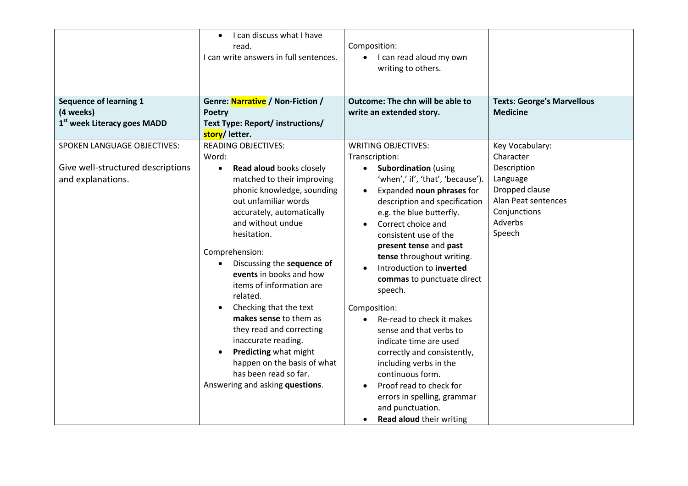| <b>Sequence of learning 1</b><br>(4 weeks)<br>1 <sup>st</sup> week Literacy goes MADD | I can discuss what I have<br>$\bullet$<br>read.<br>I can write answers in full sentences.<br>Genre: Narrative / Non-Fiction /<br><b>Poetry</b><br>Text Type: Report/ instructions/<br>story/letter.                                                                                                                                                                                                                                                                                                                                                                                                       | Composition:<br>• I can read aloud my own<br>writing to others.<br>Outcome: The chn will be able to<br>write an extended story.                                                                                                                                                                                                                                                                                                                                                                                                                                                                                                                                                                                       | <b>Texts: George's Marvellous</b><br><b>Medicine</b>                                                                                  |
|---------------------------------------------------------------------------------------|-----------------------------------------------------------------------------------------------------------------------------------------------------------------------------------------------------------------------------------------------------------------------------------------------------------------------------------------------------------------------------------------------------------------------------------------------------------------------------------------------------------------------------------------------------------------------------------------------------------|-----------------------------------------------------------------------------------------------------------------------------------------------------------------------------------------------------------------------------------------------------------------------------------------------------------------------------------------------------------------------------------------------------------------------------------------------------------------------------------------------------------------------------------------------------------------------------------------------------------------------------------------------------------------------------------------------------------------------|---------------------------------------------------------------------------------------------------------------------------------------|
| SPOKEN LANGUAGE OBJECTIVES:<br>Give well-structured descriptions<br>and explanations. | <b>READING OBJECTIVES:</b><br>Word:<br>Read aloud books closely<br>$\bullet$<br>matched to their improving<br>phonic knowledge, sounding<br>out unfamiliar words<br>accurately, automatically<br>and without undue<br>hesitation.<br>Comprehension:<br>Discussing the sequence of<br>$\bullet$<br>events in books and how<br>items of information are<br>related.<br>Checking that the text<br>$\bullet$<br>makes sense to them as<br>they read and correcting<br>inaccurate reading.<br>Predicting what might<br>happen on the basis of what<br>has been read so far.<br>Answering and asking questions. | <b>WRITING OBJECTIVES:</b><br>Transcription:<br><b>Subordination</b> (using<br>$\bullet$<br>'when',' if', 'that', 'because').<br>Expanded noun phrases for<br>$\bullet$<br>description and specification<br>e.g. the blue butterfly.<br>Correct choice and<br>consistent use of the<br>present tense and past<br>tense throughout writing.<br>Introduction to inverted<br>commas to punctuate direct<br>speech.<br>Composition:<br>Re-read to check it makes<br>$\bullet$<br>sense and that verbs to<br>indicate time are used<br>correctly and consistently,<br>including verbs in the<br>continuous form.<br>Proof read to check for<br>errors in spelling, grammar<br>and punctuation.<br>Read aloud their writing | Key Vocabulary:<br>Character<br>Description<br>Language<br>Dropped clause<br>Alan Peat sentences<br>Conjunctions<br>Adverbs<br>Speech |